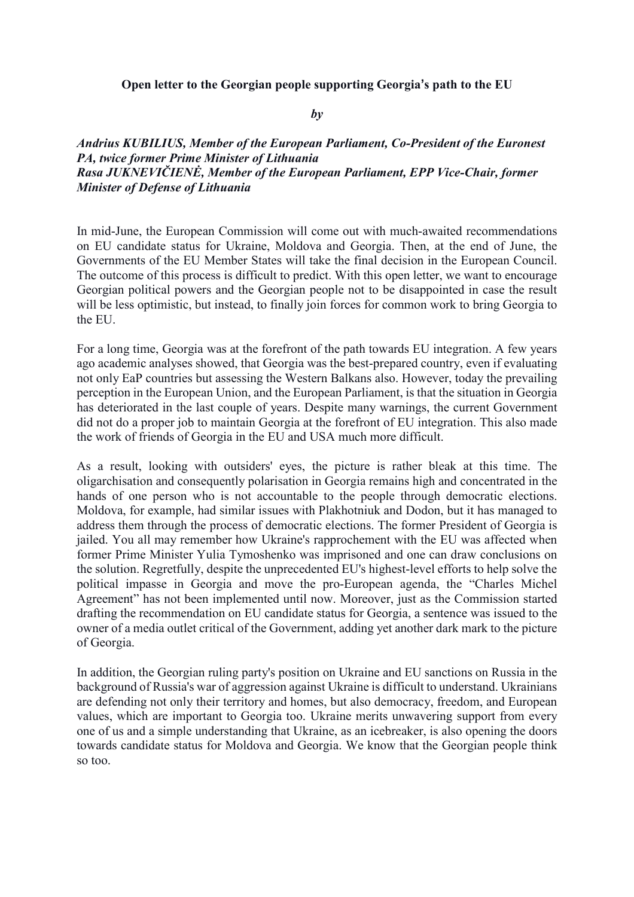## **Open letter to the Georgian people supporting Georgia's path to the EU**

## *by*

## *Andrius KUBILIUS, Member of the European Parliament, Co-President of the Euronest PA, twice former Prime Minister of Lithuania Rasa JUKNEVIČIENĖ, Member of the European Parliament, EPP Vice-Chair, former Minister of Defense of Lithuania*

In mid-June, the European Commission will come out with much-awaited recommendations on EU candidate status for Ukraine, Moldova and Georgia. Then, at the end of June, the Governments of the EU Member States will take the final decision in the European Council. The outcome of this process is difficult to predict. With this open letter, we want to encourage Georgian political powers and the Georgian people not to be disappointed in case the result will be less optimistic, but instead, to finally join forces for common work to bring Georgia to the EU.

For a long time, Georgia was at the forefront of the path towards EU integration. A few years ago academic analyses showed, that Georgia was the best-prepared country, even if evaluating not only EaP countries but assessing the Western Balkans also. However, today the prevailing perception in the European Union, and the European Parliament, is that the situation in Georgia has deteriorated in the last couple of years. Despite many warnings, the current Government did not do a proper job to maintain Georgia at the forefront of EU integration. This also made the work of friends of Georgia in the EU and USA much more difficult.

As a result, looking with outsiders' eyes, the picture is rather bleak at this time. The oligarchisation and consequently polarisation in Georgia remains high and concentrated in the hands of one person who is not accountable to the people through democratic elections. Moldova, for example, had similar issues with Plakhotniuk and Dodon, but it has managed to address them through the process of democratic elections. The former President of Georgia is jailed. You all may remember how Ukraine's rapprochement with the EU was affected when former Prime Minister Yulia Tymoshenko was imprisoned and one can draw conclusions on the solution. Regretfully, despite the unprecedented EU's highest-level efforts to help solve the political impasse in Georgia and move the pro-European agenda, the "Charles Michel Agreement" has not been implemented until now. Moreover, just as the Commission started drafting the recommendation on EU candidate status for Georgia, a sentence was issued to the owner of a media outlet critical of the Government, adding yet another dark mark to the picture of Georgia.

In addition, the Georgian ruling party's position on Ukraine and EU sanctions on Russia in the background of Russia's war of aggression against Ukraine is difficult to understand. Ukrainians are defending not only their territory and homes, but also democracy, freedom, and European values, which are important to Georgia too. Ukraine merits unwavering support from every one of us and a simple understanding that Ukraine, as an icebreaker, is also opening the doors towards candidate status for Moldova and Georgia. We know that the Georgian people think so too.